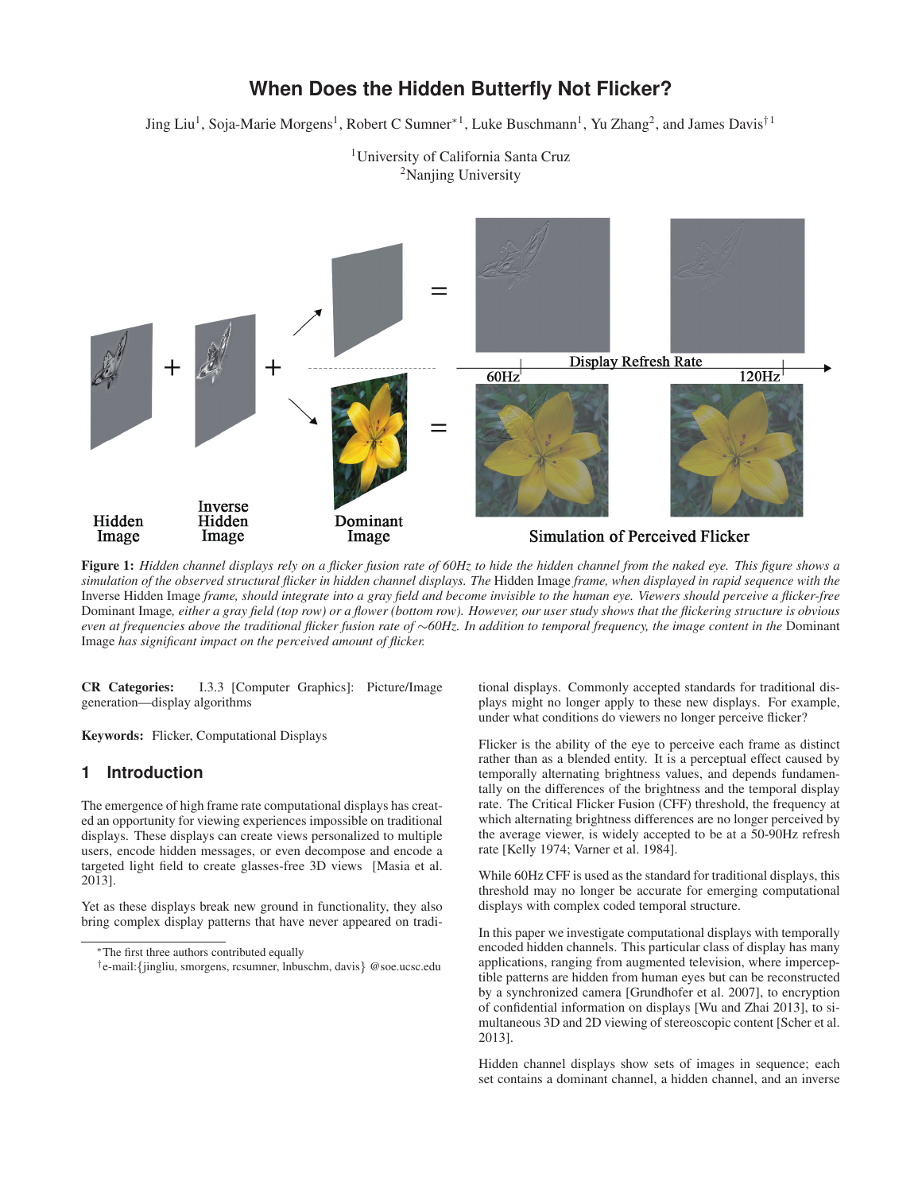# **When Does the Hidden Butterfly Not Flicker?**

Jing Liu<sup>1</sup>, Soja-Marie Morgens<sup>1</sup>, Robert C Sumner<sup>∗1</sup>, Luke Buschmann<sup>1</sup>, Yu Zhang<sup>2</sup>, and James Davis<sup>†1</sup>



<sup>1</sup>University of California Santa Cruz <sup>2</sup>Nanjing University

Figure 1: *Hidden channel displays rely on a flicker fusion rate of 60Hz to hide the hidden channel from the naked eye. This figure shows a simulation of the observed structural flicker in hidden channel displays. The* Hidden Image *frame, when displayed in rapid sequence with the* Inverse Hidden Image *frame, should integrate into a gray field and become invisible to the human eye. Viewers should perceive a flicker-free* Dominant Image*, either a gray field (top row) or a flower (bottom row). However, our user study shows that the flickering structure is obvious even at frequencies above the traditional flicker fusion rate of* ∼*60Hz. In addition to temporal frequency, the image content in the* Dominant Image *has significant impact on the perceived amount of flicker.*

CR Categories: I.3.3 [Computer Graphics]: Picture/Image generation—display algorithms

Keywords: Flicker, Computational Displays

### **1 Introduction**

The emergence of high frame rate computational displays has created an opportunity for viewing experiences impossible on traditional displays. These displays can create views personalized to multiple users, encode hidden messages, or even decompose and encode a targeted light field to create glasses-free 3D views [Masia et al. 2013].

Yet as these displays break new ground in functionality, they also bring complex display patterns that have never appeared on traditional displays. Commonly accepted standards for traditional displays might no longer apply to these new displays. For example, under what conditions do viewers no longer perceive flicker?

Flicker is the ability of the eye to perceive each frame as distinct rather than as a blended entity. It is a perceptual effect caused by temporally alternating brightness values, and depends fundamentally on the differences of the brightness and the temporal display rate. The Critical Flicker Fusion (CFF) threshold, the frequency at which alternating brightness differences are no longer perceived by the average viewer, is widely accepted to be at a 50-90Hz refresh rate [Kelly 1974; Varner et al. 1984].

While 60Hz CFF is used as the standard for traditional displays, this threshold may no longer be accurate for emerging computational displays with complex coded temporal structure.

In this paper we investigate computational displays with temporally encoded hidden channels. This particular class of display has many applications, ranging from augmented television, where imperceptible patterns are hidden from human eyes but can be reconstructed by a synchronized camera [Grundhofer et al. 2007], to encryption of confidential information on displays [Wu and Zhai 2013], to simultaneous 3D and 2D viewing of stereoscopic content [Scher et al. 2013].

Hidden channel displays show sets of images in sequence; each set contains a dominant channel, a hidden channel, and an inverse

<sup>∗</sup>The first three authors contributed equally

<sup>†</sup>e-mail:{jingliu, smorgens, rcsumner, lnbuschm, davis} @soe.ucsc.edu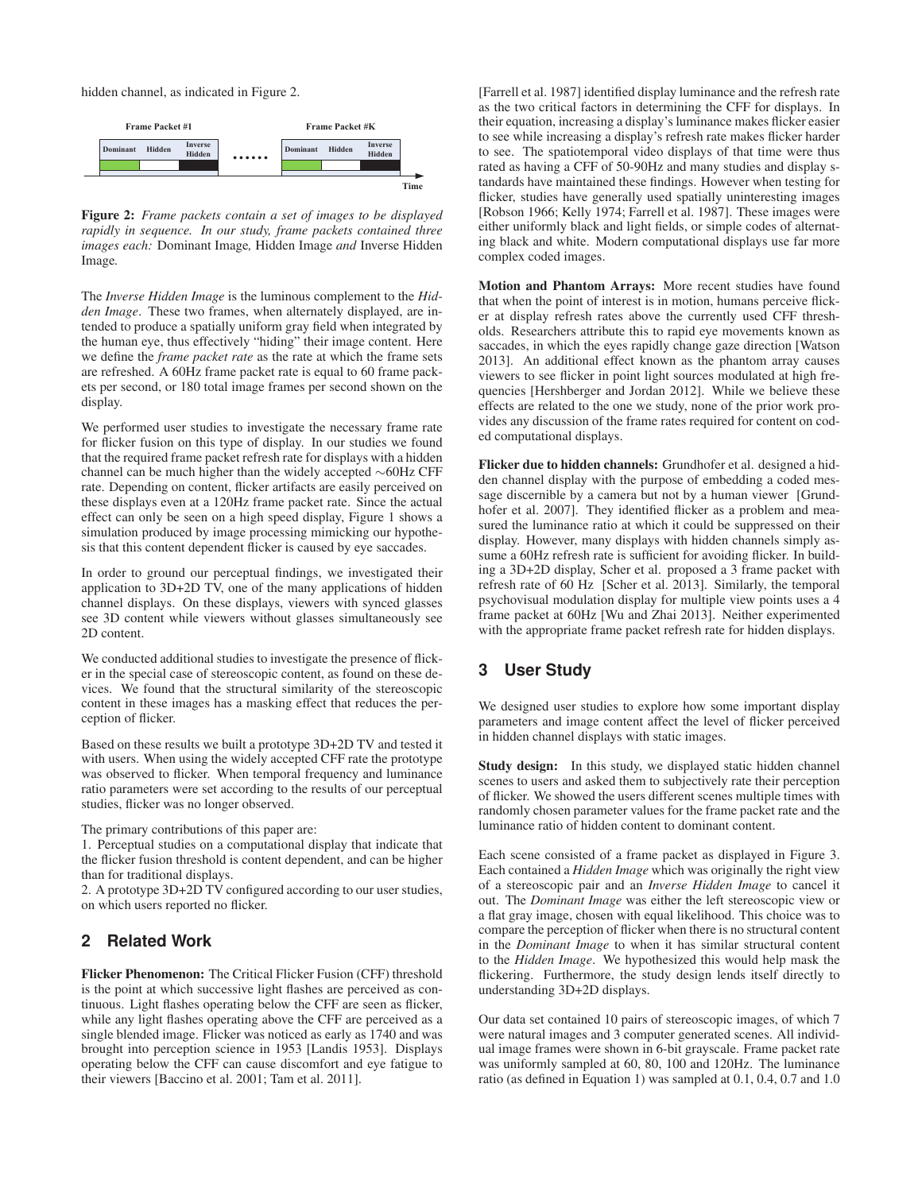hidden channel, as indicated in Figure 2.



Figure 2: *Frame packets contain a set of images to be displayed rapidly in sequence. In our study, frame packets contained three images each:* Dominant Image*,* Hidden Image *and* Inverse Hidden Image*.*

The *Inverse Hidden Image* is the luminous complement to the *Hidden Image*. These two frames, when alternately displayed, are intended to produce a spatially uniform gray field when integrated by the human eye, thus effectively "hiding" their image content. Here we define the *frame packet rate* as the rate at which the frame sets are refreshed. A 60Hz frame packet rate is equal to 60 frame packets per second, or 180 total image frames per second shown on the display.

We performed user studies to investigate the necessary frame rate for flicker fusion on this type of display. In our studies we found that the required frame packet refresh rate for displays with a hidden channel can be much higher than the widely accepted ∼60Hz CFF rate. Depending on content, flicker artifacts are easily perceived on these displays even at a 120Hz frame packet rate. Since the actual effect can only be seen on a high speed display, Figure 1 shows a simulation produced by image processing mimicking our hypothesis that this content dependent flicker is caused by eye saccades.

In order to ground our perceptual findings, we investigated their application to 3D+2D TV, one of the many applications of hidden channel displays. On these displays, viewers with synced glasses see 3D content while viewers without glasses simultaneously see 2D content.

We conducted additional studies to investigate the presence of flicker in the special case of stereoscopic content, as found on these devices. We found that the structural similarity of the stereoscopic content in these images has a masking effect that reduces the perception of flicker.

Based on these results we built a prototype 3D+2D TV and tested it with users. When using the widely accepted CFF rate the prototype was observed to flicker. When temporal frequency and luminance ratio parameters were set according to the results of our perceptual studies, flicker was no longer observed.

The primary contributions of this paper are:

1. Perceptual studies on a computational display that indicate that the flicker fusion threshold is content dependent, and can be higher than for traditional displays.

2. A prototype 3D+2D TV configured according to our user studies, on which users reported no flicker.

### **2 Related Work**

Flicker Phenomenon: The Critical Flicker Fusion (CFF) threshold is the point at which successive light flashes are perceived as continuous. Light flashes operating below the CFF are seen as flicker, while any light flashes operating above the CFF are perceived as a single blended image. Flicker was noticed as early as 1740 and was brought into perception science in 1953 [Landis 1953]. Displays operating below the CFF can cause discomfort and eye fatigue to their viewers [Baccino et al. 2001; Tam et al. 2011].

[Farrell et al. 1987] identified display luminance and the refresh rate as the two critical factors in determining the CFF for displays. In their equation, increasing a display's luminance makes flicker easier to see while increasing a display's refresh rate makes flicker harder to see. The spatiotemporal video displays of that time were thus rated as having a CFF of 50-90Hz and many studies and display standards have maintained these findings. However when testing for flicker, studies have generally used spatially uninteresting images [Robson 1966; Kelly 1974; Farrell et al. 1987]. These images were either uniformly black and light fields, or simple codes of alternating black and white. Modern computational displays use far more complex coded images.

Motion and Phantom Arrays: More recent studies have found that when the point of interest is in motion, humans perceive flicker at display refresh rates above the currently used CFF thresholds. Researchers attribute this to rapid eye movements known as saccades, in which the eyes rapidly change gaze direction [Watson 2013]. An additional effect known as the phantom array causes viewers to see flicker in point light sources modulated at high frequencies [Hershberger and Jordan 2012]. While we believe these effects are related to the one we study, none of the prior work provides any discussion of the frame rates required for content on coded computational displays.

Flicker due to hidden channels: Grundhofer et al. designed a hidden channel display with the purpose of embedding a coded message discernible by a camera but not by a human viewer [Grundhofer et al. 2007]. They identified flicker as a problem and measured the luminance ratio at which it could be suppressed on their display. However, many displays with hidden channels simply assume a 60Hz refresh rate is sufficient for avoiding flicker. In building a 3D+2D display, Scher et al. proposed a 3 frame packet with refresh rate of 60 Hz [Scher et al. 2013]. Similarly, the temporal psychovisual modulation display for multiple view points uses a 4 frame packet at 60Hz [Wu and Zhai 2013]. Neither experimented with the appropriate frame packet refresh rate for hidden displays.

## **3 User Study**

We designed user studies to explore how some important display parameters and image content affect the level of flicker perceived in hidden channel displays with static images.

Study design: In this study, we displayed static hidden channel scenes to users and asked them to subjectively rate their perception of flicker. We showed the users different scenes multiple times with randomly chosen parameter values for the frame packet rate and the luminance ratio of hidden content to dominant content.

Each scene consisted of a frame packet as displayed in Figure 3. Each contained a *Hidden Image* which was originally the right view of a stereoscopic pair and an *Inverse Hidden Image* to cancel it out. The *Dominant Image* was either the left stereoscopic view or a flat gray image, chosen with equal likelihood. This choice was to compare the perception of flicker when there is no structural content in the *Dominant Image* to when it has similar structural content to the *Hidden Image*. We hypothesized this would help mask the flickering. Furthermore, the study design lends itself directly to understanding 3D+2D displays.

Our data set contained 10 pairs of stereoscopic images, of which 7 were natural images and 3 computer generated scenes. All individual image frames were shown in 6-bit grayscale. Frame packet rate was uniformly sampled at 60, 80, 100 and 120Hz. The luminance ratio (as defined in Equation 1) was sampled at 0.1, 0.4, 0.7 and 1.0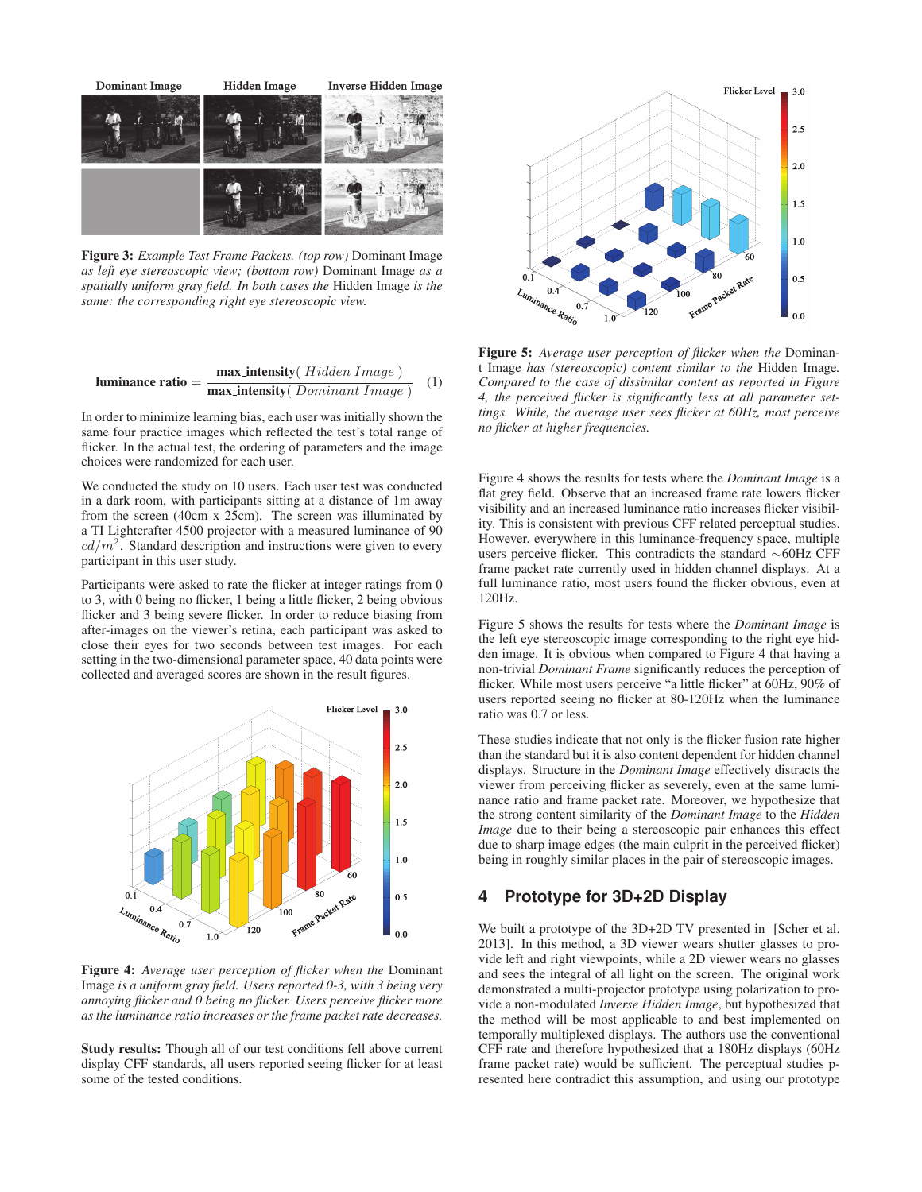

Figure 3: *Example Test Frame Packets. (top row)* Dominant Image *as left eye stereoscopic view; (bottom row)* Dominant Image *as a spatially uniform gray field. In both cases the* Hidden Image *is the same: the corresponding right eye stereoscopic view.*

$$
luminance ratio = \frac{max\_intensity(\textit{Hidden Image})}{max\_intensity(\textit{Domain} \times \textit{Image})} \quad (1)
$$

In order to minimize learning bias, each user was initially shown the same four practice images which reflected the test's total range of flicker. In the actual test, the ordering of parameters and the image choices were randomized for each user.

We conducted the study on 10 users. Each user test was conducted in a dark room, with participants sitting at a distance of 1m away from the screen (40cm x 25cm). The screen was illuminated by a TI Lightcrafter 4500 projector with a measured luminance of 90  $cd/m<sup>2</sup>$ . Standard description and instructions were given to every participant in this user study.

Participants were asked to rate the flicker at integer ratings from 0 to 3, with 0 being no flicker, 1 being a little flicker, 2 being obvious flicker and 3 being severe flicker. In order to reduce biasing from after-images on the viewer's retina, each participant was asked to close their eyes for two seconds between test images. For each setting in the two-dimensional parameter space, 40 data points were collected and averaged scores are shown in the result figures.



Figure 4: *Average user perception of flicker when the* Dominant Image *is a uniform gray field. Users reported 0-3, with 3 being very annoying flicker and 0 being no flicker. Users perceive flicker more as the luminance ratio increases or the frame packet rate decreases.*

Study results: Though all of our test conditions fell above current display CFF standards, all users reported seeing flicker for at least some of the tested conditions.



Figure 5: *Average user perception of flicker when the* Dominant Image *has (stereoscopic) content similar to the* Hidden Image*. Compared to the case of dissimilar content as reported in Figure 4, the perceived flicker is significantly less at all parameter settings. While, the average user sees flicker at 60Hz, most perceive no flicker at higher frequencies.*

Figure 4 shows the results for tests where the *Dominant Image* is a flat grey field. Observe that an increased frame rate lowers flicker visibility and an increased luminance ratio increases flicker visibility. This is consistent with previous CFF related perceptual studies. However, everywhere in this luminance-frequency space, multiple users perceive flicker. This contradicts the standard ∼60Hz CFF frame packet rate currently used in hidden channel displays. At a full luminance ratio, most users found the flicker obvious, even at 120Hz.

Figure 5 shows the results for tests where the *Dominant Image* is the left eye stereoscopic image corresponding to the right eye hidden image. It is obvious when compared to Figure 4 that having a non-trivial *Dominant Frame* significantly reduces the perception of flicker. While most users perceive "a little flicker" at 60Hz, 90% of users reported seeing no flicker at 80-120Hz when the luminance ratio was 0.7 or less.

These studies indicate that not only is the flicker fusion rate higher than the standard but it is also content dependent for hidden channel displays. Structure in the *Dominant Image* effectively distracts the viewer from perceiving flicker as severely, even at the same luminance ratio and frame packet rate. Moreover, we hypothesize that the strong content similarity of the *Dominant Image* to the *Hidden Image* due to their being a stereoscopic pair enhances this effect due to sharp image edges (the main culprit in the perceived flicker) being in roughly similar places in the pair of stereoscopic images.

#### **4 Prototype for 3D+2D Display**

We built a prototype of the 3D+2D TV presented in [Scher et al. 2013]. In this method, a 3D viewer wears shutter glasses to provide left and right viewpoints, while a 2D viewer wears no glasses and sees the integral of all light on the screen. The original work demonstrated a multi-projector prototype using polarization to provide a non-modulated *Inverse Hidden Image*, but hypothesized that the method will be most applicable to and best implemented on temporally multiplexed displays. The authors use the conventional CFF rate and therefore hypothesized that a 180Hz displays (60Hz frame packet rate) would be sufficient. The perceptual studies presented here contradict this assumption, and using our prototype